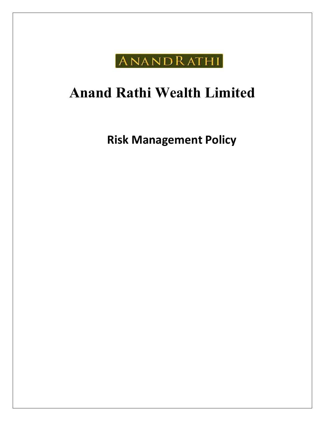

# Anand Rathi Wealth Limited

Risk Management Policy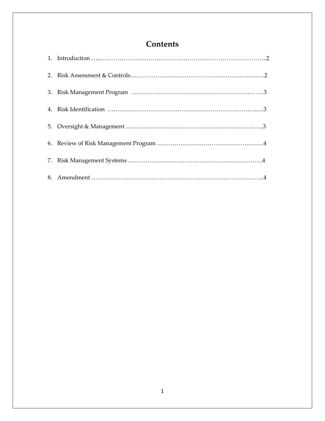# **Contents**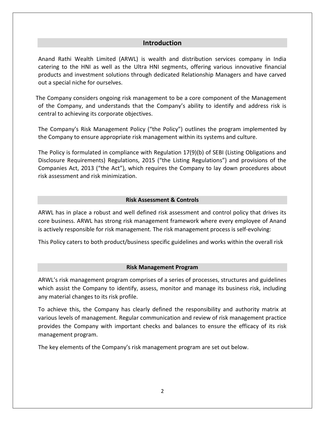# Introduction

Anand Rathi Wealth Limited (ARWL) is wealth and distribution services company in India catering to the HNI as well as the Ultra HNI segments, offering various innovative financial products and investment solutions through dedicated Relationship Managers and have carved out a special niche for ourselves.

The Company considers ongoing risk management to be a core component of the Management of the Company, and understands that the Company's ability to identify and address risk is central to achieving its corporate objectives.

The Company's Risk Management Policy ("the Policy") outlines the program implemented by the Company to ensure appropriate risk management within its systems and culture.

The Policy is formulated in compliance with Regulation 17(9)(b) of SEBI (Listing Obligations and Disclosure Requirements) Regulations, 2015 ("the Listing Regulations") and provisions of the Companies Act, 2013 ("the Act"), which requires the Company to lay down procedures about risk assessment and risk minimization.

#### Risk Assessment & Controls

ARWL has in place a robust and well defined risk assessment and control policy that drives its core business. ARWL has strong risk management framework where every employee of Anand is actively responsible for risk management. The risk management process is self-evolving:

This Policy caters to both product/business specific guidelines and works within the overall risk

# Risk Management Program

ARWL's risk management program comprises of a series of processes, structures and guidelines which assist the Company to identify, assess, monitor and manage its business risk, including any material changes to its risk profile.

To achieve this, the Company has clearly defined the responsibility and authority matrix at various levels of management. Regular communication and review of risk management practice provides the Company with important checks and balances to ensure the efficacy of its risk management program.

The key elements of the Company's risk management program are set out below.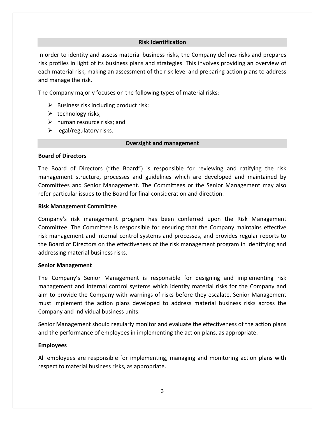### Risk Identification

In order to identity and assess material business risks, the Company defines risks and prepares risk profiles in light of its business plans and strategies. This involves providing an overview of each material risk, making an assessment of the risk level and preparing action plans to address and manage the risk.

The Company majorly focuses on the following types of material risks:

- $\triangleright$  Business risk including product risk;
- $\triangleright$  technology risks;
- $\triangleright$  human resource risks; and
- $\triangleright$  legal/regulatory risks.

#### Oversight and management

#### Board of Directors

The Board of Directors ("the Board") is responsible for reviewing and ratifying the risk management structure, processes and guidelines which are developed and maintained by Committees and Senior Management. The Committees or the Senior Management may also refer particular issues to the Board for final consideration and direction.

#### Risk Management Committee

Company's risk management program has been conferred upon the Risk Management Committee. The Committee is responsible for ensuring that the Company maintains effective risk management and internal control systems and processes, and provides regular reports to the Board of Directors on the effectiveness of the risk management program in identifying and addressing material business risks.

#### Senior Management

The Company's Senior Management is responsible for designing and implementing risk management and internal control systems which identify material risks for the Company and aim to provide the Company with warnings of risks before they escalate. Senior Management must implement the action plans developed to address material business risks across the Company and individual business units.

Senior Management should regularly monitor and evaluate the effectiveness of the action plans and the performance of employees in implementing the action plans, as appropriate.

# Employees

All employees are responsible for implementing, managing and monitoring action plans with respect to material business risks, as appropriate.